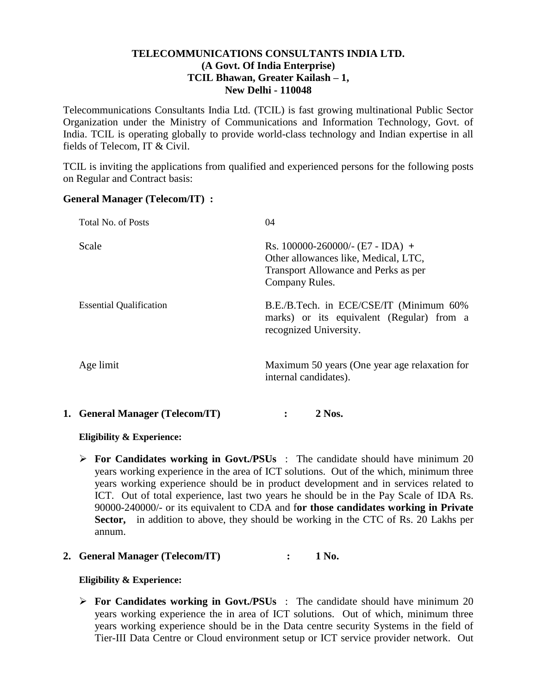# **TELECOMMUNICATIONS CONSULTANTS INDIA LTD. (A Govt. Of India Enterprise) TCIL Bhawan, Greater Kailash – 1, New Delhi - 110048**

Telecommunications Consultants India Ltd. (TCIL) is fast growing multinational Public Sector Organization under the Ministry of Communications and Information Technology, Govt. of India. TCIL is operating globally to provide world-class technology and Indian expertise in all fields of Telecom, IT & Civil.

TCIL is inviting the applications from qualified and experienced persons for the following posts on Regular and Contract basis:

### **General Manager (Telecom/IT) :**

| Total No. of Posts             | 04                                                                                                                                   |
|--------------------------------|--------------------------------------------------------------------------------------------------------------------------------------|
| Scale                          | Rs. 100000-260000/- $(E7 - IDA)$ +<br>Other allowances like, Medical, LTC,<br>Transport Allowance and Perks as per<br>Company Rules. |
| <b>Essential Qualification</b> | B.E./B.Tech. in ECE/CSE/IT (Minimum 60%)<br>marks) or its equivalent (Regular) from a<br>recognized University.                      |
| Age limit                      | Maximum 50 years (One year age relaxation for<br>internal candidates).                                                               |

#### **1. General Manager (Telecom/IT) : 2 Nos.**

# **Eligibility & Experience:**

 **For Candidates working in Govt./PSUs** : The candidate should have minimum 20 years working experience in the area of ICT solutions. Out of the which, minimum three years working experience should be in product development and in services related to ICT. Out of total experience, last two years he should be in the Pay Scale of IDA Rs. 90000-240000/- or its equivalent to CDA and f**or those candidates working in Private Sector,** in addition to above, they should be working in the CTC of Rs. 20 Lakhs per annum.

# **2. General Manager (Telecom/IT) : 1 No.**

#### **Eligibility & Experience:**

 **For Candidates working in Govt./PSUs** : The candidate should have minimum 20 years working experience the in area of ICT solutions. Out of which, minimum three years working experience should be in the Data centre security Systems in the field of Tier-III Data Centre or Cloud environment setup or ICT service provider network. Out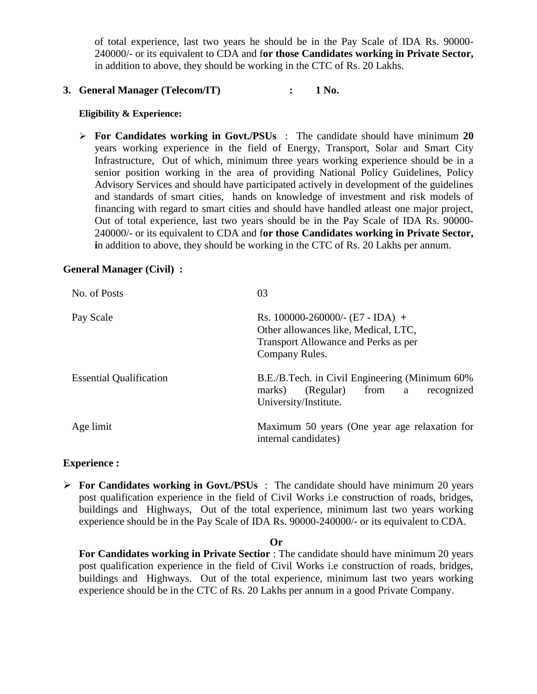of total experience, last two years he should be in the Pay Scale of IDA Rs. 90000- 240000/- or its equivalent to CDA and f**or those Candidates working in Private Sector,**  in addition to above, they should be working in the CTC of Rs. 20 Lakhs.

# **3. General Manager (Telecom/IT) : 1 No.**

#### **Eligibility & Experience:**

 **For Candidates working in Govt./PSUs** : The candidate should have minimum **20** years working experience in the field of Energy, Transport, Solar and Smart City Infrastructure, Out of which, minimum three years working experience should be in a senior position working in the area of providing National Policy Guidelines, Policy Advisory Services and should have participated actively in development of the guidelines and standards of smart cities, hands on knowledge of investment and risk models of financing with regard to smart cities and should have handled atleast one major project, Out of total experience, last two years should be in the Pay Scale of IDA Rs. 90000- 240000/- or its equivalent to CDA and f**or those Candidates working in Private Sector, i**n addition to above, they should be working in the CTC of Rs. 20 Lakhs per annum.

# **General Manager (Civil) :**

| No. of Posts                   | 03                                                                                                                                   |
|--------------------------------|--------------------------------------------------------------------------------------------------------------------------------------|
| Pay Scale                      | Rs. 100000-260000/- $(E7 - IDA)$ +<br>Other allowances like, Medical, LTC,<br>Transport Allowance and Perks as per<br>Company Rules. |
| <b>Essential Qualification</b> | B.E./B.Tech. in Civil Engineering (Minimum 60%)<br>(Regular)<br>from<br>marks)<br>recognized<br>a<br>University/Institute.           |
| Age limit                      | Maximum 50 years (One year age relaxation for<br>internal candidates)                                                                |

# **Experience :**

**For Candidates working in Govt./PSUs** : The candidate should have minimum 20 years post qualification experience in the field of Civil Works i.e construction of roads, bridges, buildings and Highways, Out of the total experience, minimum last two years working experience should be in the Pay Scale of IDA Rs. 90000-240000/- or its equivalent to CDA.

**Or**

**For Candidates working in Private Sectior** : The candidate should have minimum 20 years post qualification experience in the field of Civil Works i.e construction of roads, bridges, buildings and Highways. Out of the total experience, minimum last two years working experience should be in the CTC of Rs. 20 Lakhs per annum in a good Private Company.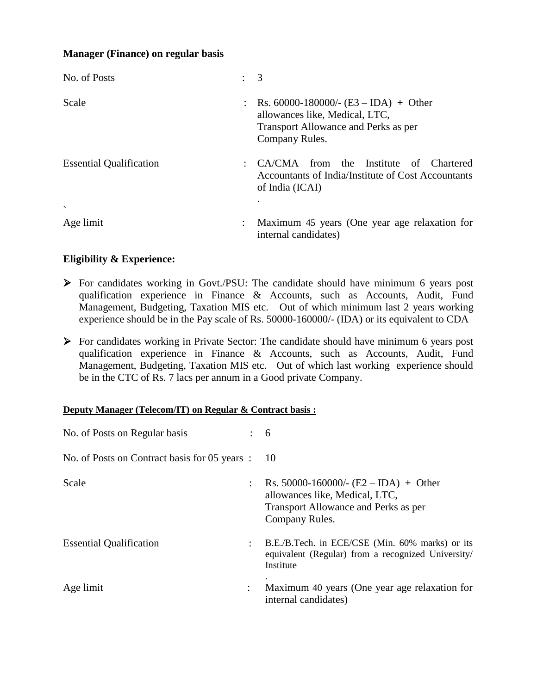# **Manager (Finance) on regular basis**

| No. of Posts                   | $\therefore$ 3                                                                                                                        |
|--------------------------------|---------------------------------------------------------------------------------------------------------------------------------------|
| Scale                          | : Rs. 60000-180000/- $(E3 - IDA)$ + Other<br>allowances like, Medical, LTC,<br>Transport Allowance and Perks as per<br>Company Rules. |
| <b>Essential Qualification</b> | CA/CMA from the Institute of<br><b>Chartered</b><br>Accountants of India/Institute of Cost Accountants<br>of India (ICAI)             |
| $\overline{\phantom{0}}$       |                                                                                                                                       |
| Age limit                      | Maximum 45 years (One year age relaxation for<br>internal candidates)                                                                 |

# **Eligibility & Experience:**

- For candidates working in Govt./PSU: The candidate should have minimum 6 years post qualification experience in Finance & Accounts, such as Accounts, Audit, Fund Management, Budgeting, Taxation MIS etc. Out of which minimum last 2 years working experience should be in the Pay scale of Rs. 50000-160000/- (IDA) or its equivalent to CDA
- For candidates working in Private Sector: The candidate should have minimum 6 years post qualification experience in Finance & Accounts, such as Accounts, Audit, Fund Management, Budgeting, Taxation MIS etc. Out of which last working experience should be in the CTC of Rs. 7 lacs per annum in a Good private Company.

### **Deputy Manager (Telecom/IT) on Regular & Contract basis :**

| No. of Posts on Regular basis                 |                      | 6                                                                                                                                   |
|-----------------------------------------------|----------------------|-------------------------------------------------------------------------------------------------------------------------------------|
| No. of Posts on Contract basis for 05 years : |                      | 10                                                                                                                                  |
| Scale                                         | $\ddot{\phantom{a}}$ | Rs. 50000-160000/- $(E2 - IDA)$ + Other<br>allowances like, Medical, LTC,<br>Transport Allowance and Perks as per<br>Company Rules. |
| <b>Essential Qualification</b>                |                      | B.E./B.Tech. in ECE/CSE (Min. 60% marks) or its<br>equivalent (Regular) from a recognized University/<br>Institute                  |
| Age limit                                     | $\ddot{\phantom{a}}$ | Maximum 40 years (One year age relaxation for<br>internal candidates)                                                               |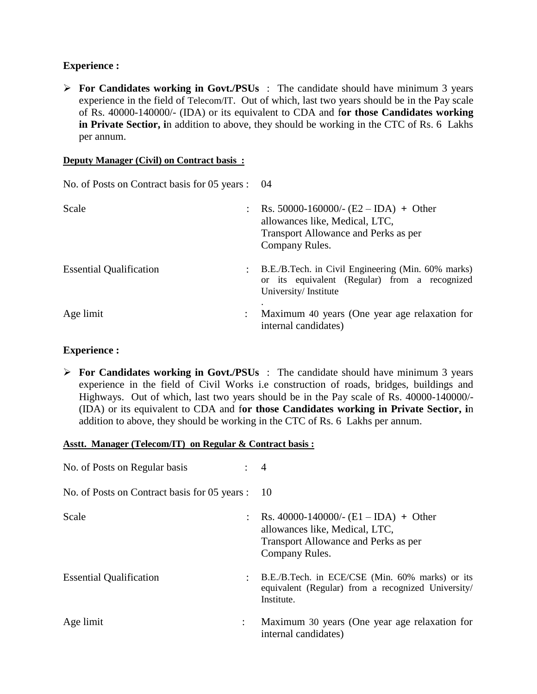# **Experience :**

 **For Candidates working in Govt./PSUs** : The candidate should have minimum 3 years experience in the field of Telecom/IT. Out of which, last two years should be in the Pay scale of Rs. 40000-140000/- (IDA) or its equivalent to CDA and f**or those Candidates working in Private Sectior, i**n addition to above, they should be working in the CTC of Rs. 6 Lakhs per annum.

### **Deputy Manager (Civil) on Contract basis :**

| No. of Posts on Contract basis for 05 years : 04 |                                                                                                                                       |
|--------------------------------------------------|---------------------------------------------------------------------------------------------------------------------------------------|
| Scale                                            | : Rs. 50000-160000/- $(E2 - IDA)$ + Other<br>allowances like, Medical, LTC,<br>Transport Allowance and Perks as per<br>Company Rules. |
| <b>Essential Qualification</b>                   | B.E./B.Tech. in Civil Engineering (Min. 60% marks)<br>or its equivalent (Regular) from a recognized<br>University/Institute           |
| Age limit                                        | Maximum 40 years (One year age relaxation for<br>internal candidates)                                                                 |

# **Experience :**

 **For Candidates working in Govt./PSUs** : The candidate should have minimum 3 years experience in the field of Civil Works i.e construction of roads, bridges, buildings and Highways. Out of which, last two years should be in the Pay scale of Rs. 40000-140000/- (IDA) or its equivalent to CDA and f**or those Candidates working in Private Sectior, i**n addition to above, they should be working in the CTC of Rs. 6 Lakhs per annum.

### **Asstt. Manager (Telecom/IT) on Regular & Contract basis :**

| No. of Posts on Regular basis                 |                | $\overline{4}$                                                                                                                        |
|-----------------------------------------------|----------------|---------------------------------------------------------------------------------------------------------------------------------------|
| No. of Posts on Contract basis for 05 years : |                | - 10                                                                                                                                  |
| Scale                                         |                | : Rs. 40000-140000/- $(E1 - IDA)$ + Other<br>allowances like, Medical, LTC,<br>Transport Allowance and Perks as per<br>Company Rules. |
| <b>Essential Qualification</b>                | $\ddot{\cdot}$ | B.E./B.Tech. in ECE/CSE (Min. 60% marks) or its<br>equivalent (Regular) from a recognized University/<br>Institute.                   |
| Age limit                                     | $\ddot{\cdot}$ | Maximum 30 years (One year age relaxation for<br>internal candidates)                                                                 |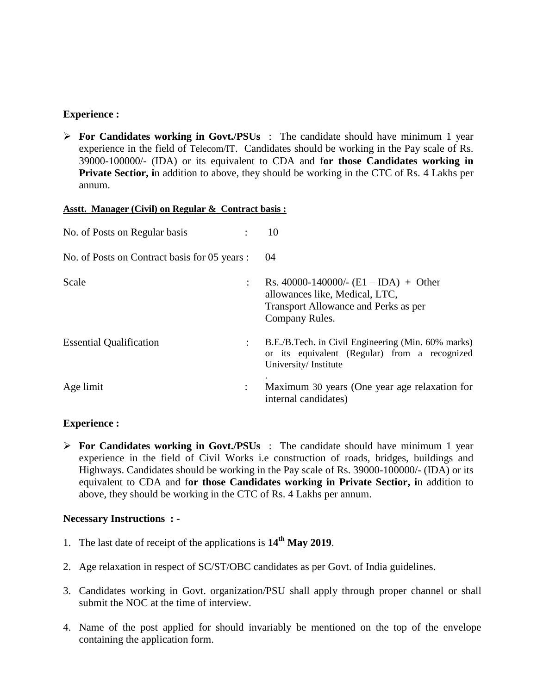# **Experience :**

 **For Candidates working in Govt./PSUs** : The candidate should have minimum 1 year experience in the field of Telecom/IT. Candidates should be working in the Pay scale of Rs. 39000-100000/- (IDA) or its equivalent to CDA and f**or those Candidates working in Private Sectior, in addition to above, they should be working in the CTC of Rs. 4 Lakhs per** annum.

### **Asstt. Manager (Civil) on Regular & Contract basis :**

| No. of Posts on Regular basis                 |                      | 10                                                                                                                                  |
|-----------------------------------------------|----------------------|-------------------------------------------------------------------------------------------------------------------------------------|
| No. of Posts on Contract basis for 05 years : |                      | 04                                                                                                                                  |
| Scale                                         | $\ddot{\phantom{a}}$ | Rs. 40000-140000/- $(E1 - IDA)$ + Other<br>allowances like, Medical, LTC,<br>Transport Allowance and Perks as per<br>Company Rules. |
| <b>Essential Qualification</b>                | ÷                    | B.E./B.Tech. in Civil Engineering (Min. 60% marks)<br>or its equivalent (Regular) from a recognized<br>University/Institute         |
| Age limit                                     | $\ddot{\phantom{a}}$ | Maximum 30 years (One year age relaxation for<br>internal candidates)                                                               |

# **Experience :**

**For Candidates working in Govt./PSUs** : The candidate should have minimum 1 year experience in the field of Civil Works i.e construction of roads, bridges, buildings and Highways. Candidates should be working in the Pay scale of Rs. 39000-100000/- (IDA) or its equivalent to CDA and f**or those Candidates working in Private Sectior, i**n addition to above, they should be working in the CTC of Rs. 4 Lakhs per annum.

# **Necessary Instructions : -**

- 1. The last date of receipt of the applications is **14th May 2019**.
- 2. Age relaxation in respect of SC/ST/OBC candidates as per Govt. of India guidelines.
- 3. Candidates working in Govt. organization/PSU shall apply through proper channel or shall submit the NOC at the time of interview.
- 4. Name of the post applied for should invariably be mentioned on the top of the envelope containing the application form.